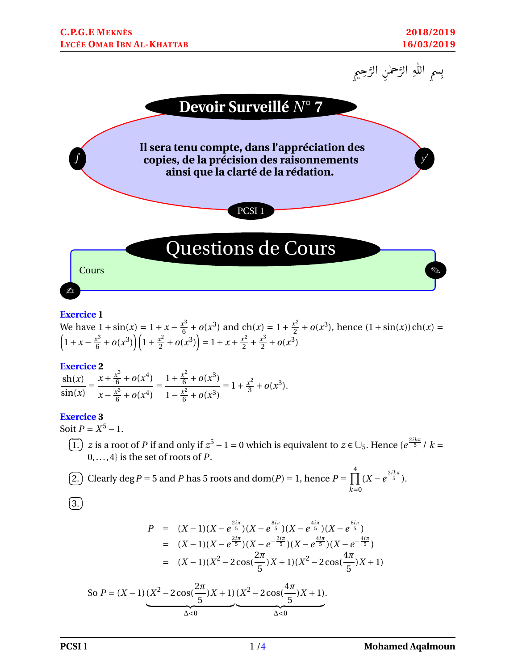



#### **Exercice 1**

We have 
$$
1 + \sin(x) = 1 + x - \frac{x^3}{6} + o(x^3)
$$
 and  $ch(x) = 1 + \frac{x^2}{2} + o(x^3)$ , hence  $(1 + \sin(x))ch(x) = \left(1 + x - \frac{x^3}{6} + o(x^3)\right)\left(1 + \frac{x^2}{2} + o(x^3)\right) = 1 + x + \frac{x^2}{2} + \frac{x^3}{2} + o(x^3)$ 

#### **Exercice 2**

$$
\frac{\operatorname{sh}(x)}{\sin(x)} = \frac{x + \frac{x^3}{6} + o(x^4)}{x - \frac{x^3}{6} + o(x^4)} = \frac{1 + \frac{x^2}{6} + o(x^3)}{1 - \frac{x^2}{6} + o(x^3)} = 1 + \frac{x^2}{3} + o(x^3).
$$

#### **Exercice 3**

Soit  $P = X^5 - 1$ .

 $\overline{G}$ ✝ 1.) *z* is a root of *P* if and only if  $z^5 - 1 = 0$  which is equivalent to  $z \in \bigcup_5$ . Hence  $\{e^{\frac{2ik\pi}{5}}/k = 0\}$ 0,..., 4} is the set of roots of *P*.

(2.) Clearly 
$$
\deg P = 5
$$
 and *P* has 5 roots and  $\text{dom}(P) = 1$ , hence  $P = \prod_{k=0}^{4} (X - e^{\frac{2ik\pi}{5}})$ .

 $\overline{G}$  $(3.)$ 

$$
P = (X-1)(X - e^{\frac{2i\pi}{5}})(X - e^{\frac{8i\pi}{5}})(X - e^{\frac{4i\pi}{5}})(X - e^{\frac{6i\pi}{5}})
$$
  
=  $(X-1)(X - e^{\frac{2i\pi}{5}})(X - e^{-\frac{2i\pi}{5}})(X - e^{\frac{4i\pi}{5}})(X - e^{-\frac{4i\pi}{5}})$   
=  $(X-1)(X^2 - 2\cos(\frac{2\pi}{5})X + 1)(X^2 - 2\cos(\frac{4\pi}{5})X + 1)$ 

So 
$$
P = (X-1) (X^2 - 2\cos(\frac{2\pi}{5})X + 1) (X^2 - 2\cos(\frac{4\pi}{5})X + 1).
$$
  
 $\Delta < 0$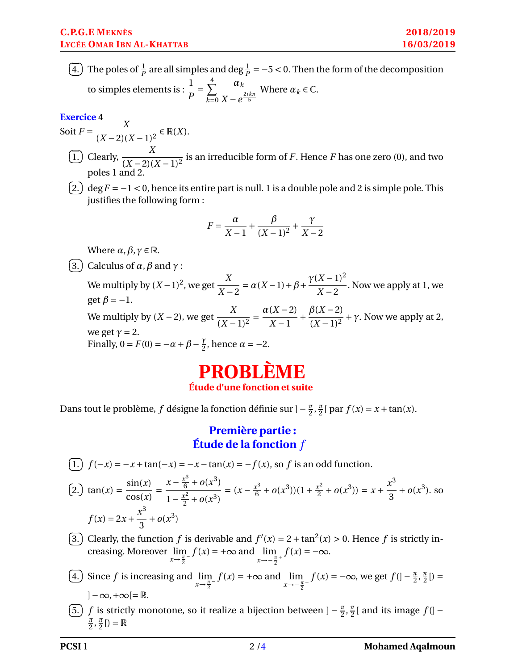$\in \mathbb{R}(X)$ .

 $\overline{G}$ ✝ 4.) The poles of  $\frac{1}{P}$  are all simples and deg  $\frac{1}{P} = -5 < 0$ . Then the form of the decomposition to simples elements is :  $\frac{1}{R}$ *P*  $=\sum^4$ *k*=0 *α<sup>k</sup>*  $X - e^{\frac{2ik\pi}{5}}$ Where  $\alpha_k \in \mathbb{C}$ .

## **Exercice 4** Soit  $F = \frac{X}{(X - 2)(X - 2)}$

$$
(1.2)
$$
 Clearly,  $\frac{X}{(X-2)(X-1)^2}$  is an irreducible form of *F*. Hence *F* has one zero (0), and two poles 1 and 2.

 $\overline{a}$ ✝ 2.)  $\deg F = -1 < 0$ , hence its entire part is null. 1 is a double pole and 2 is simple pole. This justifies the following form :

$$
F = \frac{\alpha}{X - 1} + \frac{\beta}{(X - 1)^2} + \frac{\gamma}{X - 2}
$$

Where  $\alpha$ *,*  $\beta$ *,*  $\gamma \in \mathbb{R}$ *.* 

 $\overline{G}$ ✝ 3.) Calculus of  $\alpha$ ,  $\beta$  and  $\gamma$  :

We multiply by  $(X-1)^2$ , we get *X X* −2  $= \alpha(X-1)+\beta+$  $\gamma$ (*X* − 1)<sup>2</sup>  $\frac{2}{x-2}$ . Now we apply at 1, we get  $\beta = -1$ . We multiply by  $(X-2)$ , we get  $\frac{X}{\sqrt{X}}$  $\sqrt{(X-1)^2}$  $=\frac{\alpha(X-2)}{2}$ *X* −1  $+\frac{\beta(X-2)}{2}$  $(X-1)^2$  $+\gamma$ . Now we apply at 2, we get  $\gamma = 2$ . Finally,  $0 = F(0) = -\alpha + \beta - \frac{\gamma}{2}$  $\frac{\gamma}{2}$ , hence  $\alpha = -2$ .

# **PROBLÈME Étude d'une fonction et suite**

Dans tout le problème, *f* désigne la fonction définie sur ]− *π*  $\frac{\pi}{2}, \frac{\pi}{2}$  $\frac{\pi}{2}$ [ par  $f(x) = x + \tan(x)$ .

## **Première partie : Étude de la fonction** *f*

 $\overline{G}$ ✝ 1.)  $f(-x) = -x + \tan(-x) = -x - \tan(x) = -f(x)$ , so *f* is an odd function.

$$
\text{(2.) } \tan(x) = \frac{\sin(x)}{\cos(x)} = \frac{x - \frac{x^3}{6} + o(x^3)}{1 - \frac{x^2}{2} + o(x^3)} = (x - \frac{x^3}{6} + o(x^3))(1 + \frac{x^2}{2} + o(x^3)) = x + \frac{x^3}{3} + o(x^3). \text{ so }
$$
\n
$$
f(x) = 2x + \frac{x^3}{3} + o(x^3)
$$

- $\overline{G}$ ✝ 3.) Clearly, the function *f* is derivable and  $f'(x) = 2 + \tan^2(x) > 0$ . Hence *f* is strictly increasing. Moreover lim *x*→*<sup>π</sup>* 2  $f(x) = +\infty$  and  $\lim_{n \to \infty}$ *x*→− *π* 2  $f(x) = -\infty.$
- $\overline{G}$ ✝ **4.**) Since *f* is increasing and  $\lim_{x \to \frac{\pi}{2}}$  $f(x) = +\infty$  and  $\lim_{n \to \infty}$ *x*→− *π* 2  $f(x) = -\infty$ , we get  $f($ | −  $\frac{\pi}{2}$  $\frac{\pi}{2}, \frac{\pi}{2}$  $\frac{\pi}{2}$ [) =  $]-\infty,+\infty[=\mathbb{R}.$
- $\epsilon$ ✝ 5.) *f* is strictly monotone, so it realize a bijection between  $]-\frac{\pi}{2}$  $\frac{\pi}{2}, \frac{\pi}{2}$  $\frac{\pi}{2}$ [ and its image  $f$ [] – *π*  $\frac{\pi}{2}, \frac{\pi}{2}$  $\frac{\pi}{2}$ [) =  $\mathbb{R}$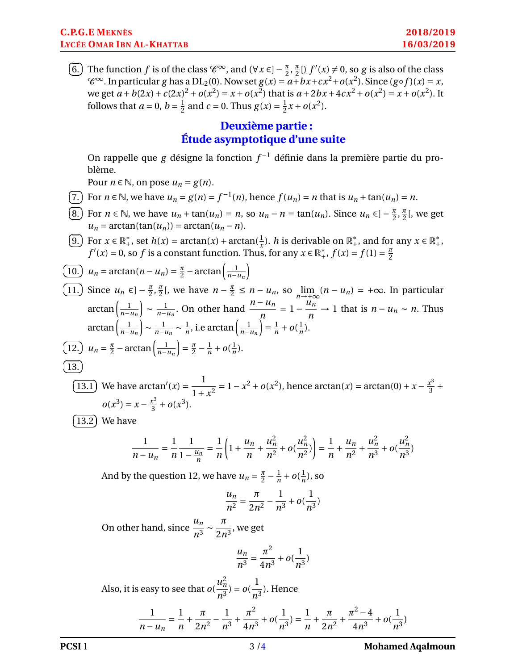$\epsilon$ ✝ 6. The function *f* is of the class  $\mathscr{C}^{\infty}$ , and  $(\forall x \in ]-\frac{\pi}{2}$  $\frac{\pi}{2}, \frac{\pi}{2}$  $\frac{\pi}{2}$ []  $f'(x) \neq 0$ , so *g* is also of the class  $\mathscr{C}^{\infty}$ . In particular *g* has a DL<sub>2</sub>(0). Now set  $g(x) = a + bx + cx^2 + o(x^2)$ . Since  $(g \circ f)(x) = x$ , we get  $a + b(2x) + c(2x)^2 + o(x^2) = x + o(x^2)$  that is  $a + 2bx + 4cx^2 + o(x^2) = x + o(x^2)$ . It follows that  $a=0, b=\frac{1}{2}$  $\frac{1}{2}$  and *c* = 0. Thus *g*(*x*) =  $\frac{1}{2}$  $\frac{1}{2}x + o(x^2)$ .

### **Deuxième partie : Étude asymptotique d'une suite**

On rappelle que *g* désigne la fonction *f* <sup>−</sup><sup>1</sup> définie dans la première partie du problème.

Pour  $n \in \mathbb{N}$ , on pose  $u_n = g(n)$ .

- $\overline{C}$ ✝ 7.) For  $n \in \mathbb{N}$ , we have  $u_n = g(n) = f^{-1}(n)$ , hence  $f(u_n) = n$  that is  $u_n + \tan(u_n) = n$ .
- $\overline{G}$ ✝ 8. For  $n \in \mathbb{N}$ , we have  $u_n + \tan(u_n) = n$ , so  $u_n - n = \tan(u_n)$ . Since  $u_n \in \left(-\frac{\pi}{2}\right)$  $\frac{\pi}{2}, \frac{\pi}{2}$  $\frac{\pi}{2}$ [, we get  $u_n = \arctan(\tan(u_n)) = \arctan(u_n - n).$
- $\epsilon$ ✝ 9. For  $x \in \mathbb{R}^*_+$ , set  $h(x) = \arctan(x) + \arctan(\frac{1}{x})$ . *h* is derivable on  $\mathbb{R}^*_+$ , and for any  $x \in \mathbb{R}^*_+$ ,  $f'(x) = 0$ , so *f* is a constant function. Thus, for any  $x \in \mathbb{R}^*_+$ ,  $f(x) = f(1) = \frac{\pi}{2}$ 2

$$
\boxed{10.} \quad u_n = \arctan(n - u_n) = \frac{\pi}{2} - \arctan\left(\frac{1}{n - u_n}\right)
$$
\n
$$
\boxed{11.} \quad \text{Since } u_n \in ] -\frac{\pi}{2}, \frac{\pi}{2}[, \text{ we have } n - \frac{\pi}{2} \le n - u_n, \text{ so } \lim_{n \to +\infty} (n - u_n) = +\infty. \text{ In particular}
$$
\n
$$
\arctan\left(\frac{1}{n - u_n}\right) \sim \frac{1}{n - u_n}. \text{ On other hand } \frac{n - u_n}{n} = 1 - \frac{u_n}{n} \to 1 \text{ that is } n - u_n \sim n. \text{ Thus}
$$
\n
$$
\arctan\left(\frac{1}{n - u_n}\right) \sim \frac{1}{n - u_n} \sim \frac{1}{n}, \text{ i.e } \arctan\left(\frac{1}{n - u_n}\right) = \frac{1}{n} + o(\frac{1}{n}).
$$
\n
$$
\boxed{12.} \quad u_n = \frac{\pi}{2} - \arctan\left(\frac{1}{n - u_n}\right) = \frac{\pi}{2} - \frac{1}{n} + o(\frac{1}{n}).
$$
\n
$$
\boxed{13.}
$$
\n
$$
\boxed{13.1} \quad \text{We have } \arctan'(x) = \frac{1}{1 + x^2} = 1 - x^2 + o(x^2), \text{ hence } \arctan(x) = \arctan(0) + x - \frac{x^3}{3} + o(x^3) = x - \frac{x^3}{3} + o(x^3).
$$

 $\overline{G}$ ✝  $\overline{13.2}$  We have

$$
\frac{1}{n-u_n} = \frac{1}{n} \frac{1}{1-\frac{u_n}{n}} = \frac{1}{n} \left( 1 + \frac{u_n}{n} + \frac{u_n^2}{n^2} + o\left(\frac{u_n^2}{n^2}\right) \right) = \frac{1}{n} + \frac{u_n}{n^2} + \frac{u_n^2}{n^3} + o\left(\frac{u_n^2}{n^3}\right)
$$

And by the question 12, we have  $u_n = \frac{\pi}{2}$  $rac{\pi}{2} - \frac{1}{n}$  $\frac{1}{n}$  +  $o(\frac{1}{n})$  $\frac{1}{n}$ ), so

$$
\frac{u_n}{n^2} = \frac{\pi}{2n^2} - \frac{1}{n^3} + o(\frac{1}{n^3})
$$

On other hand, since  $\frac{u_n}{2}$  $rac{u_n}{n^3} \sim \frac{\pi}{2n}$  $\frac{1}{2n^3}$ , we get

$$
\frac{u_n}{n^3} = \frac{\pi^2}{4n^3} + o(\frac{1}{n^3})
$$

Also, it is easy to see that *o*(  $u_n^2$  $\frac{u_n^2}{n^3}$ ) =  $o(\frac{1}{n^3})$  $\frac{1}{n^3}$ ). Hence

$$
\frac{1}{n-u_n} = \frac{1}{n} + \frac{\pi}{2n^2} - \frac{1}{n^3} + \frac{\pi^2}{4n^3} + o(\frac{1}{n^3}) = \frac{1}{n} + \frac{\pi}{2n^2} + \frac{\pi^2 - 4}{4n^3} + o(\frac{1}{n^3})
$$